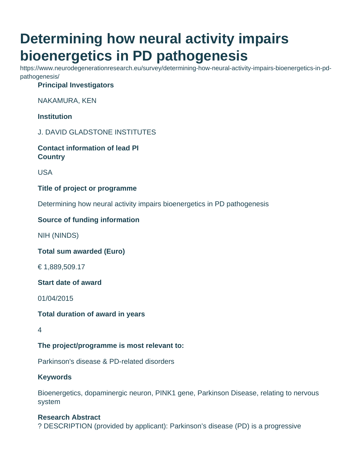# **Determining how neural activity impairs bioenergetics in PD pathogenesis**

https://www.neurodegenerationresearch.eu/survey/determining-how-neural-activity-impairs-bioenergetics-in-pdpathogenesis/

## **Principal Investigators**

NAKAMURA, KEN

**Institution**

J. DAVID GLADSTONE INSTITUTES

**Contact information of lead PI Country**

USA

## **Title of project or programme**

Determining how neural activity impairs bioenergetics in PD pathogenesis

# **Source of funding information**

NIH (NINDS)

**Total sum awarded (Euro)**

€ 1,889,509.17

**Start date of award**

01/04/2015

**Total duration of award in years**

4

**The project/programme is most relevant to:**

Parkinson's disease & PD-related disorders

#### **Keywords**

Bioenergetics, dopaminergic neuron, PINK1 gene, Parkinson Disease, relating to nervous system

# **Research Abstract**

? DESCRIPTION (provided by applicant): Parkinson's disease (PD) is a progressive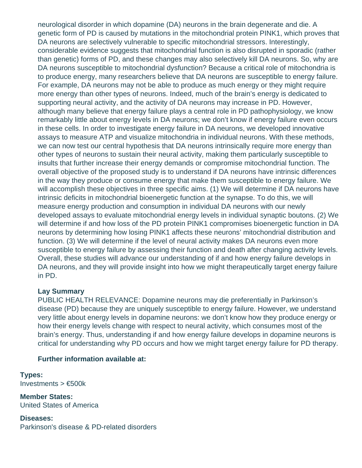neurological disorder in which dopamine (DA) neurons in the brain degenerate and die. A genetic form of PD is caused by mutations in the mitochondrial protein PINK1, which proves that DA neurons are selectively vulnerable to specific mitochondrial stressors. Interestingly, considerable evidence suggests that mitochondrial function is also disrupted in sporadic (rather than genetic) forms of PD, and these changes may also selectively kill DA neurons. So, why are DA neurons susceptible to mitochondrial dysfunction? Because a critical role of mitochondria is to produce energy, many researchers believe that DA neurons are susceptible to energy failure. For example, DA neurons may not be able to produce as much energy or they might require more energy than other types of neurons. Indeed, much of the brain's energy is dedicated to supporting neural activity, and the activity of DA neurons may increase in PD. However, although many believe that energy failure plays a central role in PD pathophysiology, we know remarkably little about energy levels in DA neurons; we don't know if energy failure even occurs in these cells. In order to investigate energy failure in DA neurons, we developed innovative assays to measure ATP and visualize mitochondria in individual neurons. With these methods, we can now test our central hypothesis that DA neurons intrinsically require more energy than other types of neurons to sustain their neural activity, making them particularly susceptible to insults that further increase their energy demands or compromise mitochondrial function. The overall objective of the proposed study is to understand if DA neurons have intrinsic differences in the way they produce or consume energy that make them susceptible to energy failure. We will accomplish these objectives in three specific aims. (1) We will determine if DA neurons have intrinsic deficits in mitochondrial bioenergetic function at the synapse. To do this, we will measure energy production and consumption in individual DA neurons with our newly developed assays to evaluate mitochondrial energy levels in individual synaptic boutons. (2) We will determine if and how loss of the PD protein PINK1 compromises bioenergetic function in DA neurons by determining how losing PINK1 affects these neurons' mitochondrial distribution and function. (3) We will determine if the level of neural activity makes DA neurons even more susceptible to energy failure by assessing their function and death after changing activity levels. Overall, these studies will advance our understanding of if and how energy failure develops in DA neurons, and they will provide insight into how we might therapeutically target energy failure in PD.

# **Lay Summary**

PUBLIC HEALTH RELEVANCE: Dopamine neurons may die preferentially in Parkinson's disease (PD) because they are uniquely susceptible to energy failure. However, we understand very little about energy levels in dopamine neurons: we don't know how they produce energy or how their energy levels change with respect to neural activity, which consumes most of the brain's energy. Thus, understanding if and how energy failure develops in dopamine neurons is critical for understanding why PD occurs and how we might target energy failure for PD therapy.

#### **Further information available at:**

**Types:**  Investments > €500k

**Member States:**  United States of America

**Diseases:**  Parkinson's disease & PD-related disorders